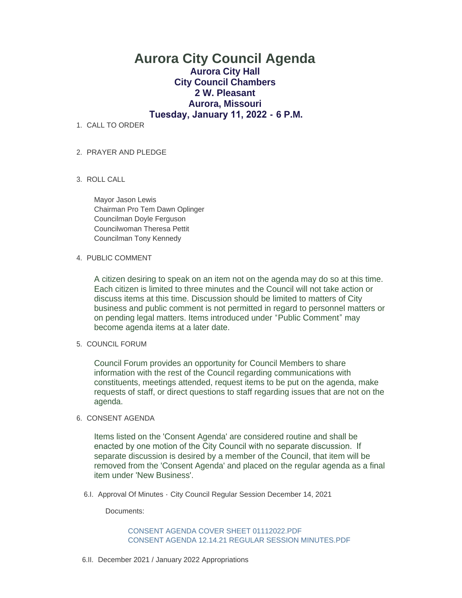# **Aurora City Council Agenda Aurora City Hall City Council Chambers 2 W. Pleasant Aurora, Missouri Tuesday, January 11, 2022 - 6 P.M.**

1. CALL TO ORDER

# PRAYER AND PLEDGE 2.

ROLL CALL 3.

Mayor Jason Lewis Chairman Pro Tem Dawn Oplinger Councilman Doyle Ferguson Councilwoman Theresa Pettit Councilman Tony Kennedy

#### 4. PUBLIC COMMENT

A citizen desiring to speak on an item not on the agenda may do so at this time. Each citizen is limited to three minutes and the Council will not take action or discuss items at this time. Discussion should be limited to matters of City business and public comment is not permitted in regard to personnel matters or on pending legal matters. Items introduced under "Public Comment" may become agenda items at a later date.

## 5. COUNCIL FORUM

Council Forum provides an opportunity for Council Members to share information with the rest of the Council regarding communications with constituents, meetings attended, request items to be put on the agenda, make requests of staff, or direct questions to staff regarding issues that are not on the agenda.

#### 6. CONSENT AGENDA

Items listed on the 'Consent Agenda' are considered routine and shall be enacted by one motion of the City Council with no separate discussion. If separate discussion is desired by a member of the Council, that item will be removed from the 'Consent Agenda' and placed on the regular agenda as a final item under 'New Business'.

6.I. Approval Of Minutes - City Council Regular Session December 14, 2021

Documents:

[CONSENT AGENDA COVER SHEET 01112022.PDF](https://www.aurora-cityhall.org/AgendaCenter/ViewFile/Item/1472?fileID=1840) [CONSENT AGENDA 12.14.21 REGULAR SESSION MINUTES.PDF](https://www.aurora-cityhall.org/AgendaCenter/ViewFile/Item/1472?fileID=1839)

6.II. December 2021 / January 2022 Appropriations